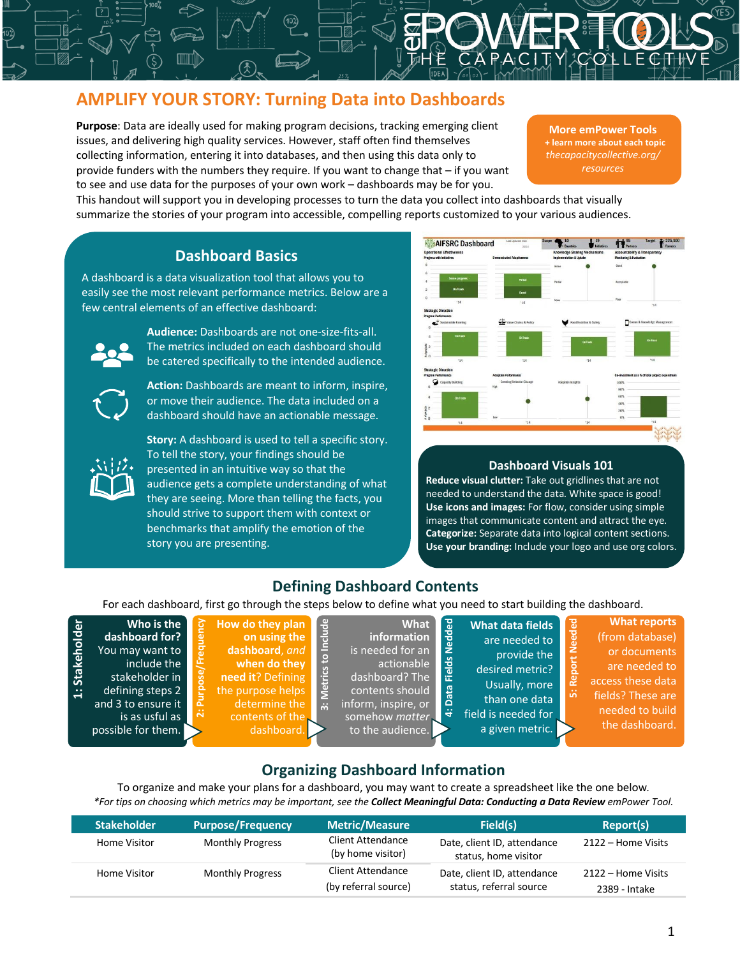# **AMPLIFY YOUR STORY: Turning Data into Dashboards**

**Purpose**: Data are ideally used for making program decisions, tracking emerging client issues, and delivering high quality services. However, staff often find themselves collecting information, entering it into databases, and then using this data only to provide funders with the numbers they require. If you want to change that – if you want to see and use data for the purposes of your own work – dashboards may be for you.

**More emPower Tools + learn more about each topic** *thecapacitycollective.org/ resources*

This handout will support you in developing processes to turn the data you collect into dashboards that visually summarize the stories of your program into accessible, compelling reports customized to your various audiences.

## **Dashboard Basics**

A dashboard is a data visualization tool that allows you to easily see the most relevant performance metrics. Below are a few central elements of an effective dashboard:



**Audience:** Dashboards are not one-size-fits-all. The metrics included on each dashboard should be catered specifically to the intended audience.

**Action:** Dashboards are meant to inform, inspire, or move their audience. The data included on a dashboard should have an actionable message.



**1: Stakeholder**

1: Stakeholder

**Story:** A dashboard is used to tell a specific story. To tell the story, your findings should be presented in an intuitive way so that the audience gets a complete understanding of what they are seeing. More than telling the facts, you should strive to support them with context or benchmarks that amplify the emotion of the story you are presenting.



### **Dashboard Visuals 101**

**Reduce visual clutter:** Take out gridlines that are not needed to understand the data. White space is good! **Use icons and images:** For flow, consider using simple images that communicate content and attract the eye. **Categorize:** Separate data into logical content sections. **Use your branding:** Include your logo and use org colors.

## **Defining Dashboard Contents**

For each dashboard, first go through the steps below to define what you need to start building the dashboard.

| Nedded<br>Include<br>How do they plan<br>Who is the<br><b>What</b><br>on using the<br>dashboard for?<br>information<br>dashboard, and<br>is needed for an<br>You may want to<br>ខ<br><b>Fields</b><br>when do they<br>include the<br>actionable<br><b>Tetrics</b><br>need it? Defining<br>dashboard? The<br>ະ<br>stakeholder in<br>Data<br>the purpose helps<br>contents should<br>defining steps 2<br>은<br>determine the<br>and 3 to ensure it<br>inform, inspire, or<br>$\ddot{\mathbf{m}}$<br>ä<br>$\sim$<br>contents of the<br>is as usful as<br>somehow matter<br>to the audience.<br>possible for them.<br>dashboard. | <b>What data fields</b><br>are needed to<br>provide the<br>desired metric?<br>Usually, more<br>than one data<br>field is needed for<br>a given metric. | <b>What reports</b><br><b>Needed</b><br>(from database)<br>or documents<br>are needed to<br>Repor<br>access these data<br>$\bullet$<br>fields? These are<br><b>LO</b><br>needed to build<br>the dashboard. |
|-----------------------------------------------------------------------------------------------------------------------------------------------------------------------------------------------------------------------------------------------------------------------------------------------------------------------------------------------------------------------------------------------------------------------------------------------------------------------------------------------------------------------------------------------------------------------------------------------------------------------------|--------------------------------------------------------------------------------------------------------------------------------------------------------|------------------------------------------------------------------------------------------------------------------------------------------------------------------------------------------------------------|
|-----------------------------------------------------------------------------------------------------------------------------------------------------------------------------------------------------------------------------------------------------------------------------------------------------------------------------------------------------------------------------------------------------------------------------------------------------------------------------------------------------------------------------------------------------------------------------------------------------------------------------|--------------------------------------------------------------------------------------------------------------------------------------------------------|------------------------------------------------------------------------------------------------------------------------------------------------------------------------------------------------------------|

# **Organizing Dashboard Information**

To organize and make your plans for a dashboard, you may want to create a spreadsheet like the one below*. \*For tips on choosing which metrics may be important, see the Collect Meaningful Data: Conducting a Data Review emPower Tool.*

| <b>Stakeholder</b> | <b>Purpose/Frequency</b> | <b>Metric/Measure</b>                            | Field(s)                                               | Report(s)                           |
|--------------------|--------------------------|--------------------------------------------------|--------------------------------------------------------|-------------------------------------|
| Home Visitor       | <b>Monthly Progress</b>  | <b>Client Attendance</b><br>(by home visitor)    | Date, client ID, attendance<br>status, home visitor    | 2122 – Home Visits                  |
| Home Visitor       | <b>Monthly Progress</b>  | <b>Client Attendance</b><br>(by referral source) | Date, client ID, attendance<br>status, referral source | 2122 – Home Visits<br>2389 - Intake |